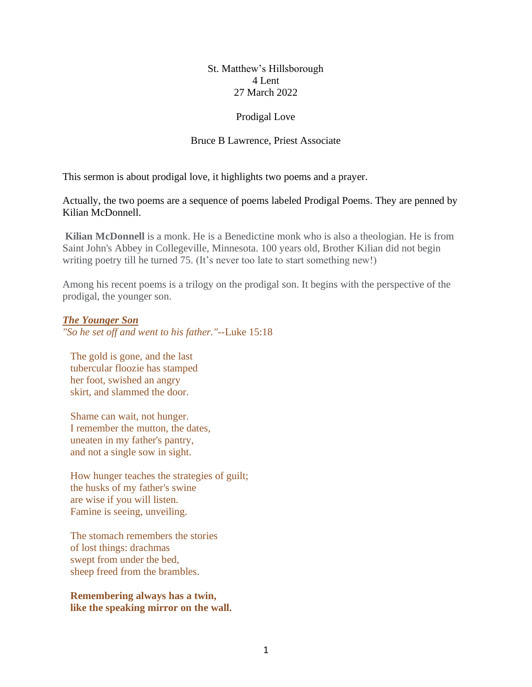# St. Matthew's Hillsborough 4 Lent 27 March 2022

# Prodigal Love

## Bruce B Lawrence, Priest Associate

This sermon is about prodigal love, it highlights two poems and a prayer.

Actually, the two poems are a sequence of poems labeled Prodigal Poems. They are penned by Kilian McDonnell.

**Kilian McDonnell** is a monk. He is a Benedictine monk who is also a theologian. He is from Saint John's Abbey in Collegeville, Minnesota. 100 years old, Brother Kilian did not begin writing poetry till he turned 75. (It's never too late to start something new!)

Among his recent poems is a trilogy on the prodigal son. It begins with the perspective of the prodigal, the younger son.

## *The Younger Son*

*"So he set off and went to his father."--*Luke 15:18

The gold is gone, and the last tubercular floozie has stamped her foot, swished an angry skirt, and slammed the door.

 Shame can wait, not hunger. I remember the mutton, the dates, uneaten in my father's pantry, and not a single sow in sight.

 How hunger teaches the strategies of guilt; the husks of my father's swine are wise if you will listen. Famine is seeing, unveiling.

 The stomach remembers the stories of lost things: drachmas swept from under the bed, sheep freed from the brambles.

 **Remembering always has a twin, like the speaking mirror on the wall.**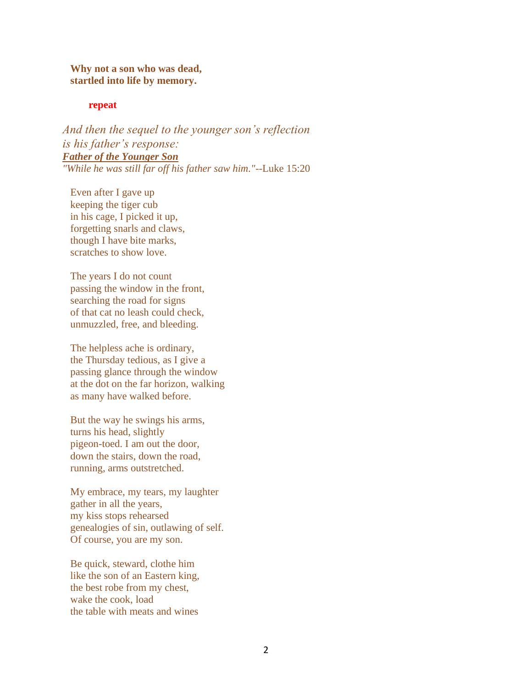**Why not a son who was dead, startled into life by memory.**

#### **repeat**

*And then the sequel to the younger son's reflection is his father's response: Father of the Younger Son "While he was still far off his father saw him."--*Luke 15:20

 Even after I gave up keeping the tiger cub in his cage, I picked it up, forgetting snarls and claws, though I have bite marks, scratches to show love.

 The years I do not count passing the window in the front, searching the road for signs of that cat no leash could check, unmuzzled, free, and bleeding.

 The helpless ache is ordinary, the Thursday tedious, as I give a passing glance through the window at the dot on the far horizon, walking as many have walked before.

 But the way he swings his arms, turns his head, slightly pigeon-toed. I am out the door, down the stairs, down the road, running, arms outstretched.

 My embrace, my tears, my laughter gather in all the years, my kiss stops rehearsed genealogies of sin, outlawing of self. Of course, you are my son.

 Be quick, steward, clothe him like the son of an Eastern king, the best robe from my chest, wake the cook, load the table with meats and wines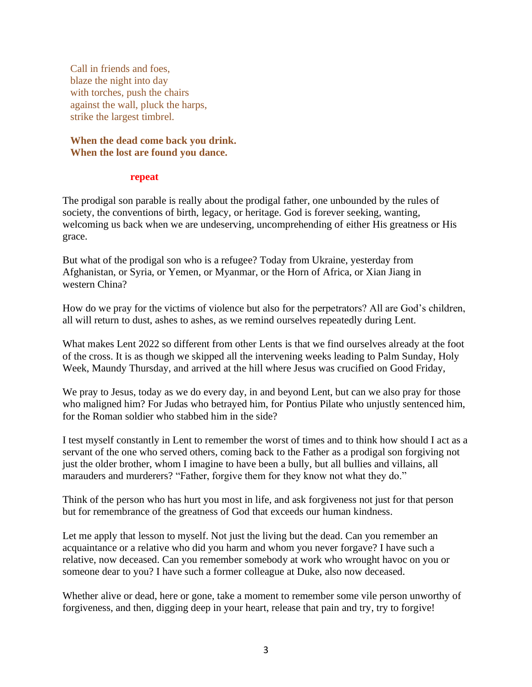Call in friends and foes, blaze the night into day with torches, push the chairs against the wall, pluck the harps, strike the largest timbrel.

**When the dead come back you drink. When the lost are found you dance.**

#### **repeat**

The prodigal son parable is really about the prodigal father, one unbounded by the rules of society, the conventions of birth, legacy, or heritage. God is forever seeking, wanting, welcoming us back when we are undeserving, uncomprehending of either His greatness or His grace.

But what of the prodigal son who is a refugee? Today from Ukraine, yesterday from Afghanistan, or Syria, or Yemen, or Myanmar, or the Horn of Africa, or Xian Jiang in western China?

How do we pray for the victims of violence but also for the perpetrators? All are God's children, all will return to dust, ashes to ashes, as we remind ourselves repeatedly during Lent.

What makes Lent 2022 so different from other Lents is that we find ourselves already at the foot of the cross. It is as though we skipped all the intervening weeks leading to Palm Sunday, Holy Week, Maundy Thursday, and arrived at the hill where Jesus was crucified on Good Friday,

We pray to Jesus, today as we do every day, in and beyond Lent, but can we also pray for those who maligned him? For Judas who betrayed him, for Pontius Pilate who unjustly sentenced him, for the Roman soldier who stabbed him in the side?

I test myself constantly in Lent to remember the worst of times and to think how should I act as a servant of the one who served others, coming back to the Father as a prodigal son forgiving not just the older brother, whom I imagine to have been a bully, but all bullies and villains, all marauders and murderers? "Father, forgive them for they know not what they do."

Think of the person who has hurt you most in life, and ask forgiveness not just for that person but for remembrance of the greatness of God that exceeds our human kindness.

Let me apply that lesson to myself. Not just the living but the dead. Can you remember an acquaintance or a relative who did you harm and whom you never forgave? I have such a relative, now deceased. Can you remember somebody at work who wrought havoc on you or someone dear to you? I have such a former colleague at Duke, also now deceased.

Whether alive or dead, here or gone, take a moment to remember some vile person unworthy of forgiveness, and then, digging deep in your heart, release that pain and try, try to forgive!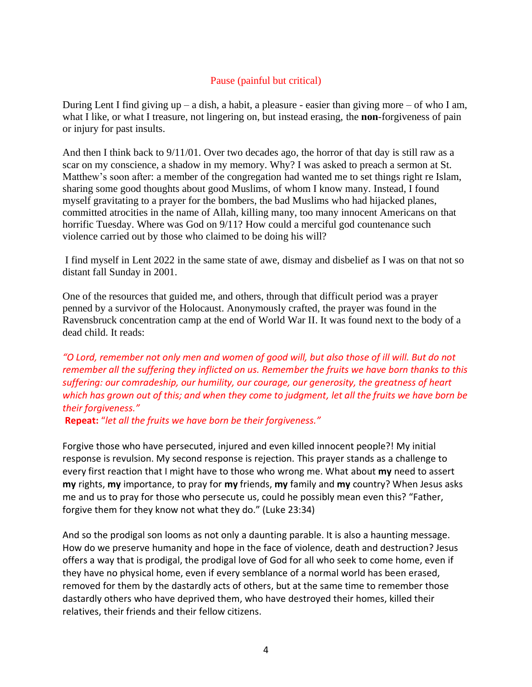# Pause (painful but critical)

During Lent I find giving  $up - a$  dish, a habit, a pleasure - easier than giving more  $-$  of who I am, what I like, or what I treasure, not lingering on, but instead erasing, the **non**-forgiveness of pain or injury for past insults.

And then I think back to 9/11/01. Over two decades ago, the horror of that day is still raw as a scar on my conscience, a shadow in my memory. Why? I was asked to preach a sermon at St. Matthew's soon after: a member of the congregation had wanted me to set things right re Islam, sharing some good thoughts about good Muslims, of whom I know many. Instead, I found myself gravitating to a prayer for the bombers, the bad Muslims who had hijacked planes, committed atrocities in the name of Allah, killing many, too many innocent Americans on that horrific Tuesday. Where was God on 9/11? How could a merciful god countenance such violence carried out by those who claimed to be doing his will?

I find myself in Lent 2022 in the same state of awe, dismay and disbelief as I was on that not so distant fall Sunday in 2001.

One of the resources that guided me, and others, through that difficult period was a prayer penned by a survivor of the Holocaust. Anonymously crafted, the prayer was found in the Ravensbruck concentration camp at the end of World War II. It was found next to the body of a dead child. It reads:

*"O Lord, remember not only men and women of good will, but also those of ill will. But do not remember all the suffering they inflicted on us. Remember the fruits we have born thanks to this suffering: our comradeship, our humility, our courage, our generosity, the greatness of heart which has grown out of this; and when they come to judgment, let all the fruits we have born be their forgiveness."*

**Repeat:** "*let all the fruits we have born be their forgiveness."*

Forgive those who have persecuted, injured and even killed innocent people?! My initial response is revulsion. My second response is rejection. This prayer stands as a challenge to every first reaction that I might have to those who wrong me. What about **my** need to assert **my** rights, **my** importance, to pray for **my** friends, **my** family and **my** country? When Jesus asks me and us to pray for those who persecute us, could he possibly mean even this? "Father, forgive them for they know not what they do." (Luke 23:34)

And so the prodigal son looms as not only a daunting parable. It is also a haunting message. How do we preserve humanity and hope in the face of violence, death and destruction? Jesus offers a way that is prodigal, the prodigal love of God for all who seek to come home, even if they have no physical home, even if every semblance of a normal world has been erased, removed for them by the dastardly acts of others, but at the same time to remember those dastardly others who have deprived them, who have destroyed their homes, killed their relatives, their friends and their fellow citizens.